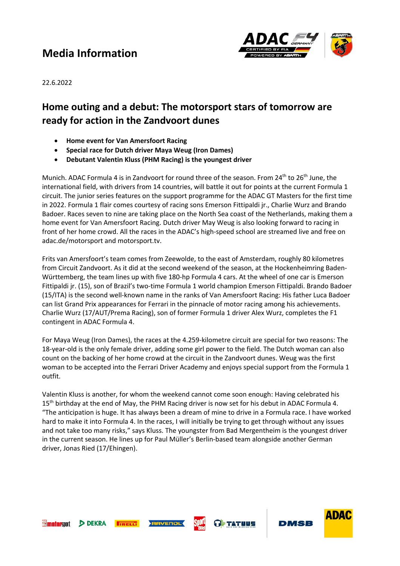# **Media Information**



22.6.2022

### **Home outing and a debut: The motorsport stars of tomorrow are ready for action in the Zandvoort dunes**

- **Home event for Van Amersfoort Racing**
- **Special race for Dutch driver Maya Weug (Iron Dames)**
- **Debutant Valentin Kluss (PHM Racing) is the youngest driver**

Munich. ADAC Formula 4 is in Zandvoort for round three of the season. From 24<sup>th</sup> to 26<sup>th</sup> June, the international field, with drivers from 14 countries, will battle it out for points at the current Formula 1 circuit. The junior series features on the support programme for the ADAC GT Masters for the first time in 2022. Formula 1 flair comes courtesy of racing sons Emerson Fittipaldi jr., Charlie Wurz and Brando Badoer. Races seven to nine are taking place on the North Sea coast of the Netherlands, making them a home event for Van Amersfoort Racing. Dutch driver May Weug is also looking forward to racing in front of her home crowd. All the races in the ADAC's high-speed school are streamed live and free on adac.de/motorsport and motorsport.tv.

Frits van Amersfoort's team comes from Zeewolde, to the east of Amsterdam, roughly 80 kilometres from Circuit Zandvoort. As it did at the second weekend of the season, at the Hockenheimring Baden-Württemberg, the team lines up with five 180-hp Formula 4 cars. At the wheel of one car is Emerson Fittipaldi jr. (15), son of Brazil's two-time Formula 1 world champion Emerson Fittipaldi. Brando Badoer (15/ITA) is the second well-known name in the ranks of Van Amersfoort Racing: His father Luca Badoer can list Grand Prix appearances for Ferrari in the pinnacle of motor racing among his achievements. Charlie Wurz (17/AUT/Prema Racing), son of former Formula 1 driver Alex Wurz, completes the F1 contingent in ADAC Formula 4.

For Maya Weug (Iron Dames), the races at the 4.259-kilometre circuit are special for two reasons: The 18-year-old is the only female driver, adding some girl power to the field. The Dutch woman can also count on the backing of her home crowd at the circuit in the Zandvoort dunes. Weug was the first woman to be accepted into the Ferrari Driver Academy and enjoys special support from the Formula 1 outfit.

Valentin Kluss is another, for whom the weekend cannot come soon enough: Having celebrated his  $15<sup>th</sup>$  birthday at the end of May, the PHM Racing driver is now set for his debut in ADAC Formula 4. "The anticipation is huge. It has always been a dream of mine to drive in a Formula race. I have worked hard to make it into Formula 4. In the races, I will initially be trying to get through without any issues and not take too many risks," says Kluss. The youngster from Bad Mergentheim is the youngest driver in the current season. He lines up for Paul Müller's Berlin-based team alongside another German driver, Jonas Ried (17/Ehingen).



**DEKRA** 







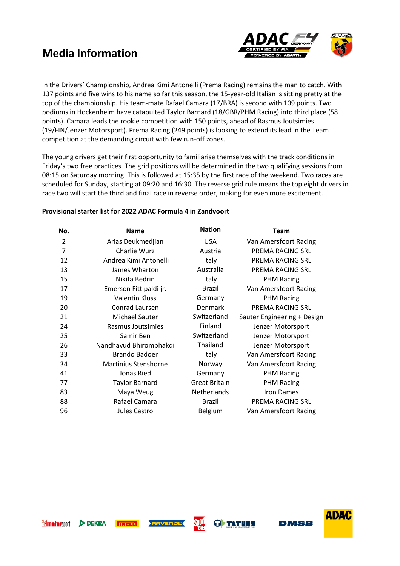# **Media Information**



In the Drivers' Championship, Andrea Kimi Antonelli (Prema Racing) remains the man to catch. With 137 points and five wins to his name so far this season, the 15-year-old Italian is sitting pretty at the top of the championship. His team-mate Rafael Camara (17/BRA) is second with 109 points. Two podiums in Hockenheim have catapulted Taylor Barnard (18/GBR/PHM Racing) into third place (58 points). Camara leads the rookie competition with 150 points, ahead of Rasmus Joutsimies (19/FIN/Jenzer Motorsport). Prema Racing (249 points) is looking to extend its lead in the Team competition at the demanding circuit with few run-off zones.

The young drivers get their first opportunity to familiarise themselves with the track conditions in Friday's two free practices. The grid positions will be determined in the two qualifying sessions from 08:15 on Saturday morning. This is followed at 15:35 by the first race of the weekend. Two races are scheduled for Sunday, starting at 09:20 and 16:30. The reverse grid rule means the top eight drivers in race two will start the third and final race in reverse order, making for even more excitement.

#### **Provisional starter list for 2022 ADAC Formula 4 in Zandvoort**

| No.            | <b>Name</b>                 | <b>Nation</b>        | <b>Team</b>                 |
|----------------|-----------------------------|----------------------|-----------------------------|
| $\overline{2}$ | Arias Deukmedjian           | <b>USA</b>           | Van Amersfoort Racing       |
| 7              | Charlie Wurz                | Austria              | PREMA RACING SRL            |
| 12             | Andrea Kimi Antonelli       | Italy                | PREMA RACING SRL            |
| 13             | James Wharton               | Australia            | PREMA RACING SRL            |
| 15             | Nikita Bedrin               | Italy                | <b>PHM Racing</b>           |
| 17             | Emerson Fittipaldi jr.      | <b>Brazil</b>        | Van Amersfoort Racing       |
| 19             | <b>Valentin Kluss</b>       | Germany              | <b>PHM Racing</b>           |
| 20             | Conrad Laursen              | Denmark              | PREMA RACING SRL            |
| 21             | Michael Sauter              | Switzerland          | Sauter Engineering + Design |
| 24             | Rasmus Joutsimies           | Finland              | Jenzer Motorsport           |
| 25             | Samir Ben                   | Switzerland          | Jenzer Motorsport           |
| 26             | Nandhavud Bhirombhakdi      | Thailand             | Jenzer Motorsport           |
| 33             | <b>Brando Badoer</b>        | Italy                | Van Amersfoort Racing       |
| 34             | <b>Martinius Stenshorne</b> | Norway               | Van Amersfoort Racing       |
| 41             | Jonas Ried                  | Germany              | <b>PHM Racing</b>           |
| 77             | <b>Taylor Barnard</b>       | <b>Great Britain</b> | <b>PHM Racing</b>           |
| 83             | Maya Weug                   | <b>Netherlands</b>   | <b>Iron Dames</b>           |
| 88             | Rafael Camara               | <b>Brazil</b>        | PREMA RACING SRL            |
| 96             | Jules Castro                | Belgium              | Van Amersfoort Racing       |